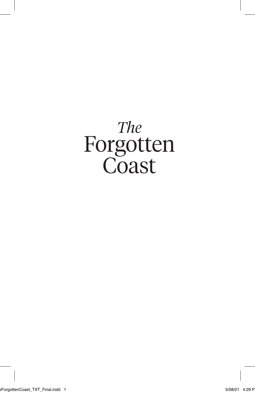# *The* Forgotten **Coast**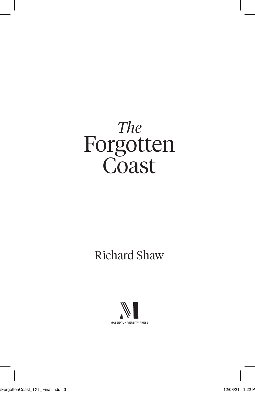# *The* Forgotten **Coast**

#### Richard Shaw

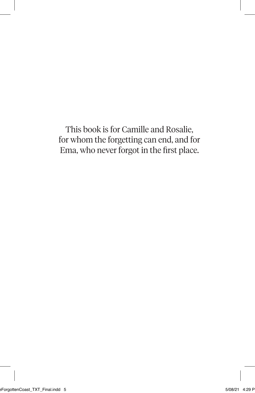This book is for Camille and Rosalie, for whom the forgetting can end, and for Ema, who never forgot in the first place.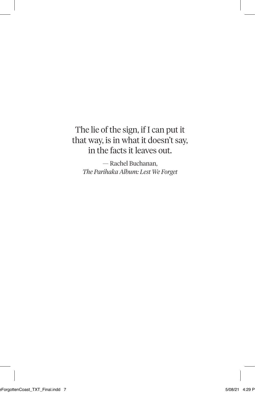#### The lie of the sign, if I can put it that way, is in what it doesn't say, in the facts it leaves out.

— Rachel Buchanan, *The Parihaka Album: Lest We Forget*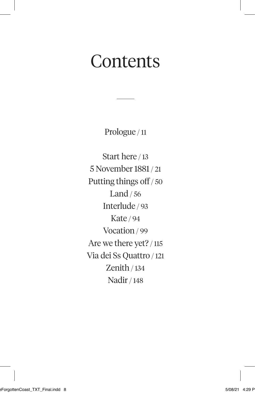## **Contents**

Prologue / 11

Start here / 13 5 November 1881 / 21 Putting things off / 50 Land / 56 Interlude / 93 Kate / 94 Vocation / 99 Are we there yet? / 115 Via dei Ss Quattro / 121 Zenith / 134 Nadir / 148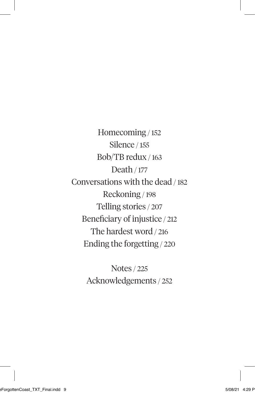Homecoming / 152 Silence / 155 Bob/TB redux / 163 Death / 177 Conversations with the dead / 182 Reckoning / 198 Telling stories / 207 Beneficiary of injustice / 212 The hardest word / 216 Ending the forgetting / 220

> Notes / 225 Acknowledgements / 252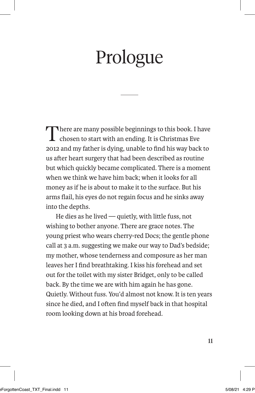# Prologue

There are many possible beginnings to this book. I have chosen to start with an ending. It is Christmas Eve 2012 and my father is dying, unable to find his way back to us after heart surgery that had been described as routine but which quickly became complicated. There is a moment when we think we have him back; when it looks for all money as if he is about to make it to the surface. But his arms flail, his eyes do not regain focus and he sinks away into the depths.

He dies as he lived — quietly, with little fuss, not wishing to bother anyone. There are grace notes. The young priest who wears cherry-red Docs; the gentle phone call at 3 a.m. suggesting we make our way to Dad's bedside; my mother, whose tenderness and composure as her man leaves her I find breathtaking. I kiss his forehead and set out for the toilet with my sister Bridget, only to be called back. By the time we are with him again he has gone. Quietly. Without fuss. You'd almost not know. It is ten years since he died, and I often find myself back in that hospital room looking down at his broad forehead.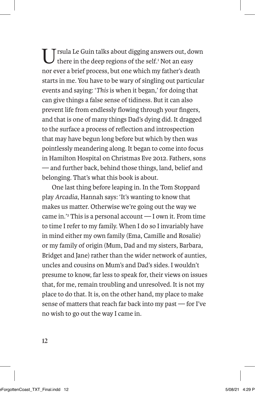Usua Le Guin talks about digging answers out, down there in the deep regions of the self.1 Not an easy nor ever a brief process, but one which my father's death starts in me. You have to be wary of singling out particular events and saying: '*This* is when it began,' for doing that can give things a false sense of tidiness. But it can also prevent life from endlessly flowing through your fingers, and that is one of many things Dad's dying did. It dragged to the surface a process of reflection and introspection that may have begun long before but which by then was pointlessly meandering along. It began to come into focus in Hamilton Hospital on Christmas Eve 2012. Fathers, sons — and further back, behind those things, land, belief and belonging. That's what this book is about.

One last thing before leaping in. In the Tom Stoppard play *Arcadia*, Hannah says: 'It's wanting to know that makes us matter. Otherwise we're going out the way we came in.'2 This is a personal account — I own it. From time to time I refer to my family. When I do so I invariably have in mind either my own family (Ema, Camille and Rosalie) or my family of origin (Mum, Dad and my sisters, Barbara, Bridget and Jane) rather than the wider network of aunties, uncles and cousins on Mum's and Dad's sides. I wouldn't presume to know, far less to speak for, their views on issues that, for me, remain troubling and unresolved. It is not my place to do that. It is, on the other hand, my place to make sense of matters that reach far back into my past — for I've no wish to go out the way I came in.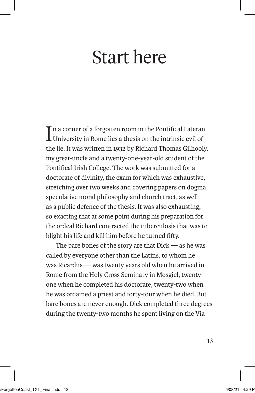## Start here

In a corner of a forgotten room in the Pontifical Laterar<br>University in Rome lies a thesis on the intrinsic evil of n a corner of a forgotten room in the Pontifical Lateran the lie. It was written in 1932 by Richard Thomas Gilhooly, my great-uncle and a twenty-one-year-old student of the Pontifical Irish College. The work was submitted for a doctorate of divinity, the exam for which was exhaustive, stretching over two weeks and covering papers on dogma, speculative moral philosophy and church tract, as well as a public defence of the thesis. It was also exhausting, so exacting that at some point during his preparation for the ordeal Richard contracted the tuberculosis that was to blight his life and kill him before he turned fifty.

The bare bones of the story are that Dick — as he was called by everyone other than the Latins, to whom he was Ricardus — was twenty years old when he arrived in Rome from the Holy Cross Seminary in Mosgiel, twentyone when he completed his doctorate, twenty-two when he was ordained a priest and forty-four when he died. But bare bones are never enough. Dick completed three degrees during the twenty-two months he spent living on the Via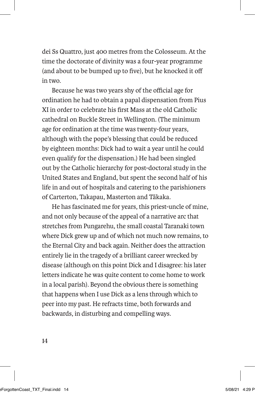dei Ss Quattro, just 400 metres from the Colosseum. At the time the doctorate of divinity was a four-year programme (and about to be bumped up to five), but he knocked it off in two.

Because he was two years shy of the official age for ordination he had to obtain a papal dispensation from Pius XI in order to celebrate his first Mass at the old Catholic cathedral on Buckle Street in Wellington. (The minimum age for ordination at the time was twenty-four years, although with the pope's blessing that could be reduced by eighteen months: Dick had to wait a year until he could even qualify for the dispensation.) He had been singled out by the Catholic hierarchy for post-doctoral study in the United States and England, but spent the second half of his life in and out of hospitals and catering to the parishioners of Carterton, Takapau, Masterton and Tākaka.

He has fascinated me for years, this priest-uncle of mine, and not only because of the appeal of a narrative arc that stretches from Pungarehu, the small coastal Taranaki town where Dick grew up and of which not much now remains, to the Eternal City and back again. Neither does the attraction entirely lie in the tragedy of a brilliant career wrecked by disease (although on this point Dick and I disagree: his later letters indicate he was quite content to come home to work in a local parish). Beyond the obvious there is something that happens when I use Dick as a lens through which to peer into my past. He refracts time, both forwards and backwards, in disturbing and compelling ways.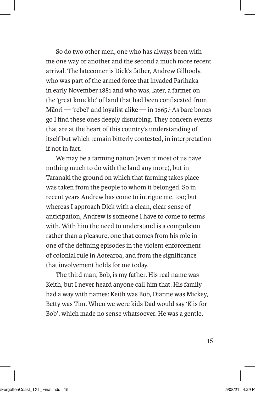So do two other men, one who has always been with me one way or another and the second a much more recent arrival. The latecomer is Dick's father, Andrew Gilhooly, who was part of the armed force that invaded Parihaka in early November 1881 and who was, later, a farmer on the 'great knuckle' of land that had been confiscated from Māori — 'rebel' and loyalist alike — in 1865.<sup>1</sup> As bare bones go I find these ones deeply disturbing. They concern events that are at the heart of this country's understanding of itself but which remain bitterly contested, in interpretation if not in fact.

We may be a farming nation (even if most of us have nothing much to do with the land any more), but in Taranaki the ground on which that farming takes place was taken from the people to whom it belonged. So in recent years Andrew has come to intrigue me, too; but whereas I approach Dick with a clean, clear sense of anticipation, Andrew is someone I have to come to terms with. With him the need to understand is a compulsion rather than a pleasure, one that comes from his role in one of the defining episodes in the violent enforcement of colonial rule in Aotearoa, and from the significance that involvement holds for me today.

The third man, Bob, is my father. His real name was Keith, but I never heard anyone call him that. His family had a way with names: Keith was Bob, Dianne was Mickey, Betty was Tim. When we were kids Dad would say 'K is for Bob', which made no sense whatsoever. He was a gentle,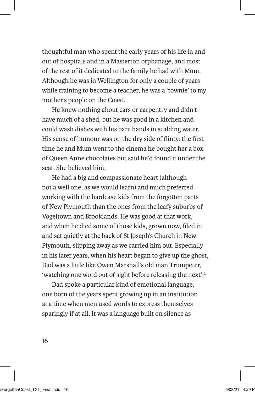thoughtful man who spent the early years of his life in and out of hospitals and in a Masterton orphanage, and most of the rest of it dedicated to the family he had with Mum. Although he was in Wellington for only a couple of years while training to become a teacher, he was a 'townie' to my mother's people on the Coast.

He knew nothing about cars or carpentry and didn't have much of a shed, but he was good in a kitchen and could wash dishes with his bare hands in scalding water. His sense of humour was on the dry side of flinty: the first time he and Mum went to the cinema he bought her a box of Queen Anne chocolates but said he'd found it under the seat. She believed him.

He had a big and compassionate heart (although not a well one, as we would learn) and much preferred working with the hardcase kids from the forgotten parts of New Plymouth than the ones from the leafy suburbs of Vogeltown and Brooklands. He was good at that work, and when he died some of those kids, grown now, filed in and sat quietly at the back of St Joseph's Church in New Plymouth, slipping away as we carried him out. Especially in his later years, when his heart began to give up the ghost, Dad was a little like Owen Marshall's old man Trumpeter, 'watching one word out of sight before releasing the next'.2

Dad spoke a particular kind of emotional language, one born of the years spent growing up in an institution at a time when men used words to express themselves sparingly if at all. It was a language built on silence as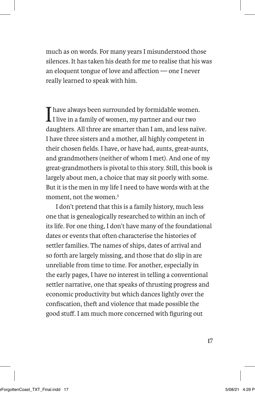much as on words. For many years I misunderstood those silences. It has taken his death for me to realise that his was an eloquent tongue of love and affection — one I never really learned to speak with him.

Thave always been surrounded by formidable women.  $\mathbf{I}$  I live in a family of women, my partner and our two daughters. All three are smarter than I am, and less naïve. I have three sisters and a mother, all highly competent in their chosen fields. I have, or have had, aunts, great-aunts, and grandmothers (neither of whom I met). And one of my great-grandmothers is pivotal to this story. Still, this book is largely about men, a choice that may sit poorly with some. But it is the men in my life I need to have words with at the moment, not the women.3

I don't pretend that this is a family history, much less one that is genealogically researched to within an inch of its life. For one thing, I don't have many of the foundational dates or events that often characterise the histories of settler families. The names of ships, dates of arrival and so forth are largely missing, and those that do slip in are unreliable from time to time. For another, especially in the early pages, I have no interest in telling a conventional settler narrative, one that speaks of thrusting progress and economic productivity but which dances lightly over the confiscation, theft and violence that made possible the good stuff. I am much more concerned with figuring out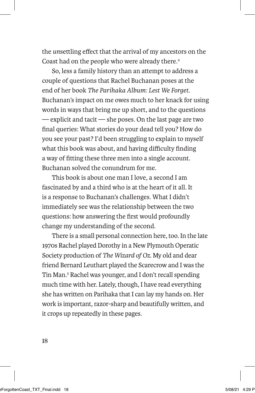the *un*settling effect that the arrival of my ancestors on the Coast had on the people who were already there.4

So, less a family history than an attempt to address a couple of questions that Rachel Buchanan poses at the end of her book *The Parihaka Album: Lest We Forget*. Buchanan's impact on me owes much to her knack for using words in ways that bring me up short, and to the questions — explicit and tacit — she poses. On the last page are two final queries: What stories do your dead tell you? How do you see your past? I'd been struggling to explain to myself what this book was about, and having difficulty finding a way of fitting these three men into a single account. Buchanan solved the conundrum for me.

This book is about one man I love, a second I am fascinated by and a third who is at the heart of it all. It is a response to Buchanan's challenges. What I didn't immediately see was the relationship between the two questions: how answering the first would profoundly change my understanding of the second.

There is a small personal connection here, too. In the late 1970s Rachel played Dorothy in a New Plymouth Operatic Society production of *The Wizard of Oz*. My old and dear friend Bernard Leuthart played the Scarecrow and I was the Tin Man.5 Rachel was younger, and I don't recall spending much time with her. Lately, though, I have read everything she has written on Parihaka that I can lay my hands on. Her work is important, razor-sharp and beautifully written, and it crops up repeatedly in these pages.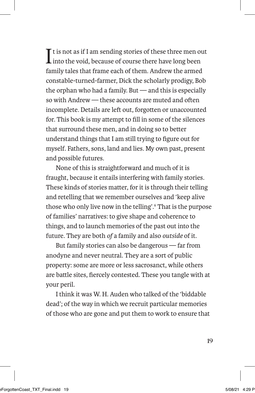$\prod$ t is not as if I am sending stories of these three men o $\prod$ into the void, because of course there have long been  $\mathbf T$  t is not as if I am sending stories of these three men out family tales that frame each of them. Andrew the armed constable-turned-farmer, Dick the scholarly prodigy, Bob the orphan who had a family. But — and this is especially so with Andrew — these accounts are muted and often incomplete. Details are left out, forgotten or unaccounted for. This book is my attempt to fill in some of the silences that surround these men, and in doing so to better understand things that I am still trying to figure out for myself. Fathers, sons, land and lies. My own past, present and possible futures.

None of this is straightforward and much of it is fraught, because it entails interfering with family stories. These kinds of stories matter, for it is through their telling and retelling that we remember ourselves and 'keep alive those who only live now in the telling'.6 That is the purpose of families' narratives: to give shape and coherence to things, and to launch memories of the past out into the future. They are both *of* a family and also *outside* of it.

But family stories can also be dangerous — far from anodyne and never neutral. They are a sort of public property: some are more or less sacrosanct, while others are battle sites, fiercely contested. These you tangle with at your peril.

I think it was W. H. Auden who talked of the 'biddable dead'; of the way in which we recruit particular memories of those who are gone and put them to work to ensure that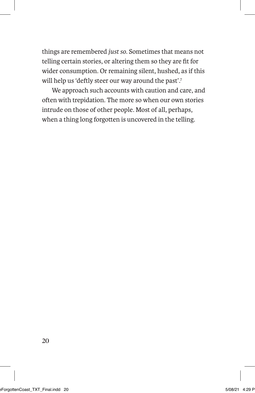things are remembered *just so*. Sometimes that means not telling certain stories, or altering them so they are fit for wider consumption. Or remaining silent, hushed, as if this will help us 'deftly steer our way around the past'.<sup>7</sup>

We approach such accounts with caution and care, and often with trepidation. The more so when our own stories intrude on those of other people. Most of all, perhaps, when a thing long forgotten is uncovered in the telling.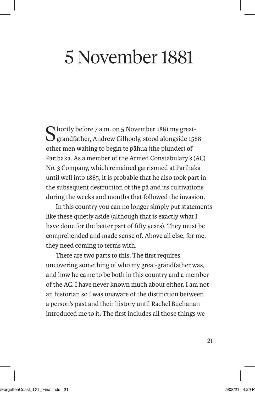# 5 November 1881

 $\bigcap$  hortly before 7 a.m. on 5 November 1881 my great-**J** grandfather, Andrew Gilhooly, stood alongside 1588 other men waiting to begin te pāhua (the plunder) of Parihaka. As a member of the Armed Constabulary's (AC) No. 3 Company, which remained garrisoned at Parihaka until well into 1885, it is probable that he also took part in the subsequent destruction of the pā and its cultivations during the weeks and months that followed the invasion.

In this country you can no longer simply put statements like these quietly aside (although that is exactly what I have done for the better part of fifty years). They must be comprehended and made sense of. Above all else, for me, they need coming to terms with.

There are two parts to this. The first requires uncovering something of who my great-grandfather was, and how he came to be both in this country and a member of the AC. I have never known much about either. I am not an historian so I was unaware of the distinction between a person's past and their history until Rachel Buchanan introduced me to it. The first includes all those things we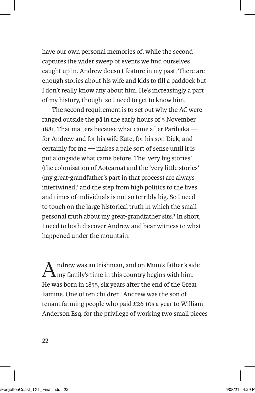have our own personal memories of, while the second captures the wider sweep of events we find ourselves caught up in. Andrew doesn't feature in my past. There are enough stories about his wife and kids to fill a paddock but I don't really know any about him. He's increasingly a part of my history, though, so I need to get to know him.

The second requirement is to set out why the AC were ranged outside the pā in the early hours of 5 November 1881. That matters because what came after Parihaka for Andrew and for his wife Kate, for his son Dick, and certainly for me — makes a pale sort of sense until it is put alongside what came before. The 'very big stories' (the colonisation of Aotearoa) and the 'very little stories' (my great-grandfather's part in that process) are always intertwined,<sup>1</sup> and the step from high politics to the lives and times of individuals is not so terribly big. So I need to touch on the large historical truth in which the small personal truth about my great-grandfather sits.<sup>2</sup> In short, I need to both discover Andrew and bear witness to what happened under the mountain.

 $A$ ndrew was an Irishman, and on Mum's father's side my family's time in this country begins with him. He was born in 1855, six years after the end of the Great Famine. One of ten children, Andrew was the son of tenant farming people who paid £26 10s a year to William Anderson Esq. for the privilege of working two small pieces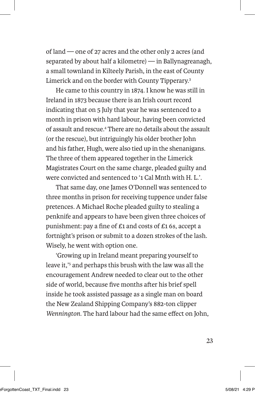of land — one of 27 acres and the other only 2 acres (and separated by about half a kilometre) — in Ballynagreanagh, a small townland in Kilteely Parish, in the east of County Limerick and on the border with County Tipperary.3

He came to this country in 1874. I know he was still in Ireland in 1873 because there is an Irish court record indicating that on 5 July that year he was sentenced to a month in prison with hard labour, having been convicted of assault and rescue.4 There are no details about the assault (or the rescue), but intriguingly his older brother John and his father, Hugh, were also tied up in the shenanigans. The three of them appeared together in the Limerick Magistrates Court on the same charge, pleaded guilty and were convicted and sentenced to '1 Cal Mnth with H. L.'.

That same day, one James O'Donnell was sentenced to three months in prison for receiving tuppence under false pretences. A Michael Roche pleaded guilty to stealing a penknife and appears to have been given three choices of punishment: pay a fine of £1 and costs of £1 6s, accept a fortnight's prison or submit to a dozen strokes of the lash. Wisely, he went with option one.

'Growing up in Ireland meant preparing yourself to leave it,'<sup>5</sup> and perhaps this brush with the law was all the encouragement Andrew needed to clear out to the other side of world, because five months after his brief spell inside he took assisted passage as a single man on board the New Zealand Shipping Company's 882-ton clipper *Wennington.* The hard labour had the same effect on John,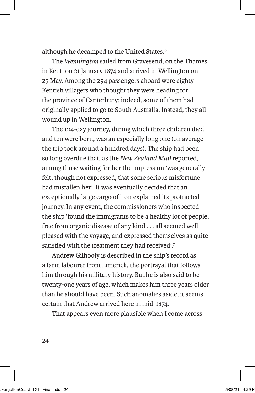although he decamped to the United States.<sup>6</sup>

The *Wennington* sailed from Gravesend, on the Thames in Kent, on 21 January 1874 and arrived in Wellington on 25 May. Among the 294 passengers aboard were eighty Kentish villagers who thought they were heading for the province of Canterbury; indeed, some of them had originally applied to go to South Australia. Instead, they all wound up in Wellington.

The 124-day journey, during which three children died and ten were born, was an especially long one (on average the trip took around a hundred days). The ship had been so long overdue that, as the *New Zealand Mail* reported, among those waiting for her the impression 'was generally felt, though not expressed, that some serious misfortune had misfallen her'. It was eventually decided that an exceptionally large cargo of iron explained its protracted journey. In any event, the commissioners who inspected the ship 'found the immigrants to be a healthy lot of people, free from organic disease of any kind . . . all seemed well pleased with the voyage, and expressed themselves as quite satisfied with the treatment they had received'.7

Andrew Gilhooly is described in the ship's record as a farm labourer from Limerick, the portrayal that follows him through his military history. But he is also said to be twenty-one years of age, which makes him three years older than he should have been. Such anomalies aside, it seems certain that Andrew arrived here in mid-1874.

That appears even more plausible when I come across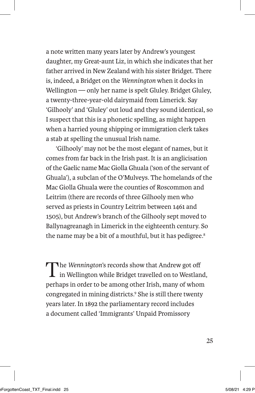a note written many years later by Andrew's youngest daughter, my Great-aunt Liz, in which she indicates that her father arrived in New Zealand with his sister Bridget. There is, indeed, a Bridget on the *Wennington* when it docks in Wellington — only her name is spelt Gluley. Bridget Gluley, a twenty-three-year-old dairymaid from Limerick. Say 'Gilhooly' and 'Gluley' out loud and they sound identical, so I suspect that this is a phonetic spelling, as might happen when a harried young shipping or immigration clerk takes a stab at spelling the unusual Irish name.

'Gilhooly' may not be the most elegant of names, but it comes from far back in the Irish past. It is an anglicisation of the Gaelic name Mac Giolla Ghuala ('son of the servant of Ghuala'), a subclan of the O'Mulveys. The homelands of the Mac Giolla Ghuala were the counties of Roscommon and Leitrim (there are records of three Gilhooly men who served as priests in Country Leitrim between 1461 and 1505), but Andrew's branch of the Gilhooly sept moved to Ballynagreanagh in Limerick in the eighteenth century. So the name may be a bit of a mouthful, but it has pedigree.<sup>8</sup>

The *Wennington*'s records show that Andrew got off in Wellington while Bridget travelled on to Westland, perhaps in order to be among other Irish, many of whom congregated in mining districts.<sup>9</sup> She is still there twenty years later. In 1892 the parliamentary record includes a document called 'Immigrants' Unpaid Promissory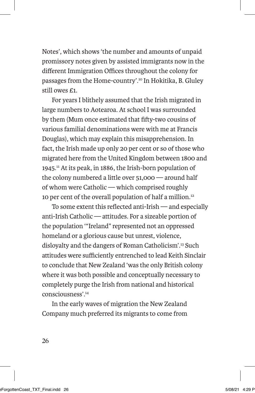Notes', which shows 'the number and amounts of unpaid promissory notes given by assisted immigrants now in the different Immigration Offices throughout the colony for passages from the Home-country'.10 In Hokitika, B. Gluley still owes £1.

For years I blithely assumed that the Irish migrated in large numbers to Aotearoa. At school I was surrounded by them (Mum once estimated that fifty-two cousins of various familial denominations were with me at Francis Douglas), which may explain this misapprehension. In fact, the Irish made up only 20 per cent or so of those who migrated here from the United Kingdom between 1800 and 1945.11 At its peak, in 1886, the Irish-born population of the colony numbered a little over 51,000 — around half of whom were Catholic — which comprised roughly 10 per cent of the overall population of half a million.<sup>12</sup>

To some extent this reflected anti-Irish — and especially anti-Irish Catholic — attitudes. For a sizeable portion of the population '"Ireland" represented not an oppressed homeland or a glorious cause but unrest, violence, disloyalty and the dangers of Roman Catholicism'.13 Such attitudes were sufficiently entrenched to lead Keith Sinclair to conclude that New Zealand 'was the only British colony where it was both possible and conceptually necessary to completely purge the Irish from national and historical consciousness'.14

In the early waves of migration the New Zealand Company much preferred its migrants to come from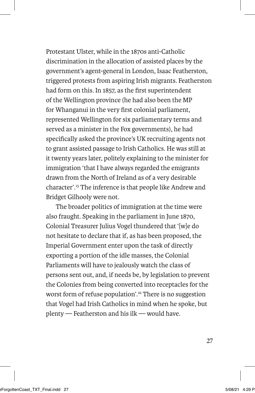Protestant Ulster, while in the 1870s anti-Catholic discrimination in the allocation of assisted places by the government's agent-general in London, Isaac Featherston, triggered protests from aspiring Irish migrants. Featherston had form on this. In 1857, as the first superintendent of the Wellington province (he had also been the MP for Whanganui in the very first colonial parliament, represented Wellington for six parliamentary terms and served as a minister in the Fox governments), he had specifically asked the province's UK recruiting agents not to grant assisted passage to Irish Catholics. He was still at it twenty years later, politely explaining to the minister for immigration 'that I have always regarded the emigrants drawn from the North of Ireland as of a very desirable character'.15 The inference is that people like Andrew and Bridget Gilhooly were not.

The broader politics of immigration at the time were also fraught. Speaking in the parliament in June 1870, Colonial Treasurer Julius Vogel thundered that '[w]e do not hesitate to declare that if, as has been proposed, the Imperial Government enter upon the task of directly exporting a portion of the idle masses, the Colonial Parliaments will have to jealously watch the class of persons sent out, and, if needs be, by legislation to prevent the Colonies from being converted into receptacles for the worst form of refuse population'.16 There is no suggestion that Vogel had Irish Catholics in mind when he spoke, but plenty — Featherston and his ilk — would have.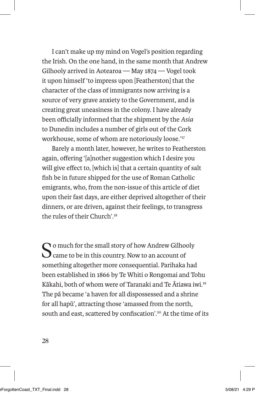I can't make up my mind on Vogel's position regarding the Irish. On the one hand, in the same month that Andrew Gilhooly arrived in Aotearoa — May 1874 — Vogel took it upon himself 'to impress upon [Featherston] that the character of the class of immigrants now arriving is a source of very grave anxiety to the Government, and is creating great uneasiness in the colony. I have already been officially informed that the shipment by the *Asia* to Dunedin includes a number of girls out of the Cork workhouse, some of whom are notoriously loose.'<sup>17</sup>

Barely a month later, however, he writes to Featherston again, offering '[a]nother suggestion which I desire you will give effect to, [which is] that a certain quantity of salt fish be in future shipped for the use of Roman Catholic emigrants, who, from the non-issue of this article of diet upon their fast days, are either deprived altogether of their dinners, or are driven, against their feelings, to transgress the rules of their Church'<sup>18</sup>

So much for the small story of how Andrew Gilhooly<br>Came to be in this country. Now to an account of something altogether more consequential. Parihaka had been established in 1866 by Te Whiti o Rongomai and Tohu Kākahi, both of whom were of Taranaki and Te Ātiawa iwi.19 The pā became 'a haven for all dispossessed and a shrine for all hapū', attracting those 'amassed from the north, south and east, scattered by confiscation'.<sup>20</sup> At the time of its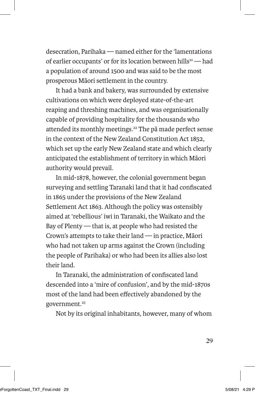desecration, Parihaka — named either for the 'lamentations of earlier occupants' or for its location between hills<sup>21</sup> — had a population of around 1500 and was said to be the most prosperous Māori settlement in the country.

It had a bank and bakery, was surrounded by extensive cultivations on which were deployed state-of-the-art reaping and threshing machines, and was organisationally capable of providing hospitality for the thousands who attended its monthly meetings.<sup>22</sup> The pa made perfect sense in the context of the New Zealand Constitution Act 1852, which set up the early New Zealand state and which clearly anticipated the establishment of territory in which Māori authority would prevail.

In mid-1878, however, the colonial government began surveying and settling Taranaki land that it had confiscated in 1865 under the provisions of the New Zealand Settlement Act 1863. Although the policy was ostensibly aimed at 'rebellious' iwi in Taranaki, the Waikato and the Bay of Plenty — that is, at people who had resisted the Crown's attempts to take their land — in practice, Māori who had not taken up arms against the Crown (including the people of Parihaka) or who had been its allies also lost their land.

In Taranaki, the administration of confiscated land descended into a 'mire of confusion', and by the mid-1870s most of the land had been effectively abandoned by the government.<sup>23</sup>

Not by its original inhabitants, however, many of whom